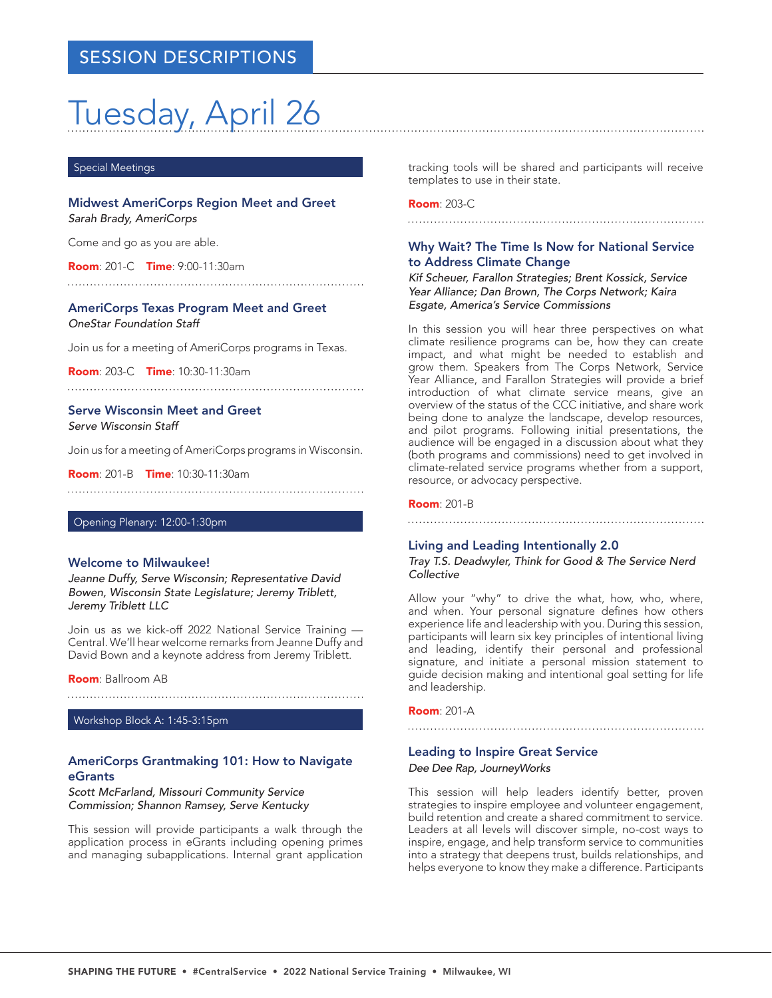# Tuesday, April 26

#### Special Meetings

Midwest AmeriCorps Region Meet and Greet *Sarah Brady, AmeriCorps*

Come and go as you are able.

Room: 201-C Time: 9:00-11:30am

AmeriCorps Texas Program Meet and Greet *OneStar Foundation Staff*

Join us for a meeting of AmeriCorps programs in Texas.

Room: 203-C Time: 10:30-11:30am

# Serve Wisconsin Meet and Greet

*Serve Wisconsin Staff*

Join us for a meeting of AmeriCorps programs in Wisconsin.

**Room**: 201-B **Time**: 10:30-11:30am

## Opening Plenary: 12:00-1:30pm

#### Welcome to Milwaukee!

*Jeanne Duffy, Serve Wisconsin; Representative David Bowen, Wisconsin State Legislature; Jeremy Triblett, Jeremy Triblett LLC*

Join us as we kick-off 2022 National Service Training — Central. We'll hear welcome remarks from Jeanne Duffy and David Bown and a keynote address from Jeremy Triblett.

Room: Ballroom AB

Workshop Block A: 1:45-3:15pm

# AmeriCorps Grantmaking 101: How to Navigate eGrants

*Scott McFarland, Missouri Community Service Commission; Shannon Ramsey, Serve Kentucky*

This session will provide participants a walk through the application process in eGrants including opening primes and managing subapplications. Internal grant application tracking tools will be shared and participants will receive templates to use in their state.

Room: 203-C

# Why Wait? The Time Is Now for National Service to Address Climate Change

*Kif Scheuer, Farallon Strategies; Brent Kossick, Service Year Alliance; Dan Brown, The Corps Network; Kaira Esgate, America's Service Commissions*

In this session you will hear three perspectives on what climate resilience programs can be, how they can create impact, and what might be needed to establish and grow them. Speakers from The Corps Network, Service Year Alliance, and Farallon Strategies will provide a brief introduction of what climate service means, give an overview of the status of the CCC initiative, and share work being done to analyze the landscape, develop resources, and pilot programs. Following initial presentations, the audience will be engaged in a discussion about what they (both programs and commissions) need to get involved in climate-related service programs whether from a support, resource, or advocacy perspective.

#### Room: 201-B

### Living and Leading Intentionally 2.0

*Tray T.S. Deadwyler, Think for Good & The Service Nerd Collective*

Allow your "why" to drive the what, how, who, where, and when. Your personal signature defines how others experience life and leadership with you. During this session, participants will learn six key principles of intentional living and leading, identify their personal and professional signature, and initiate a personal mission statement to guide decision making and intentional goal setting for life and leadership.

Room: 201-A

### Leading to Inspire Great Service

#### *Dee Dee Rap, JourneyWorks*

This session will help leaders identify better, proven strategies to inspire employee and volunteer engagement, build retention and create a shared commitment to service. Leaders at all levels will discover simple, no-cost ways to inspire, engage, and help transform service to communities into a strategy that deepens trust, builds relationships, and helps everyone to know they make a difference. Participants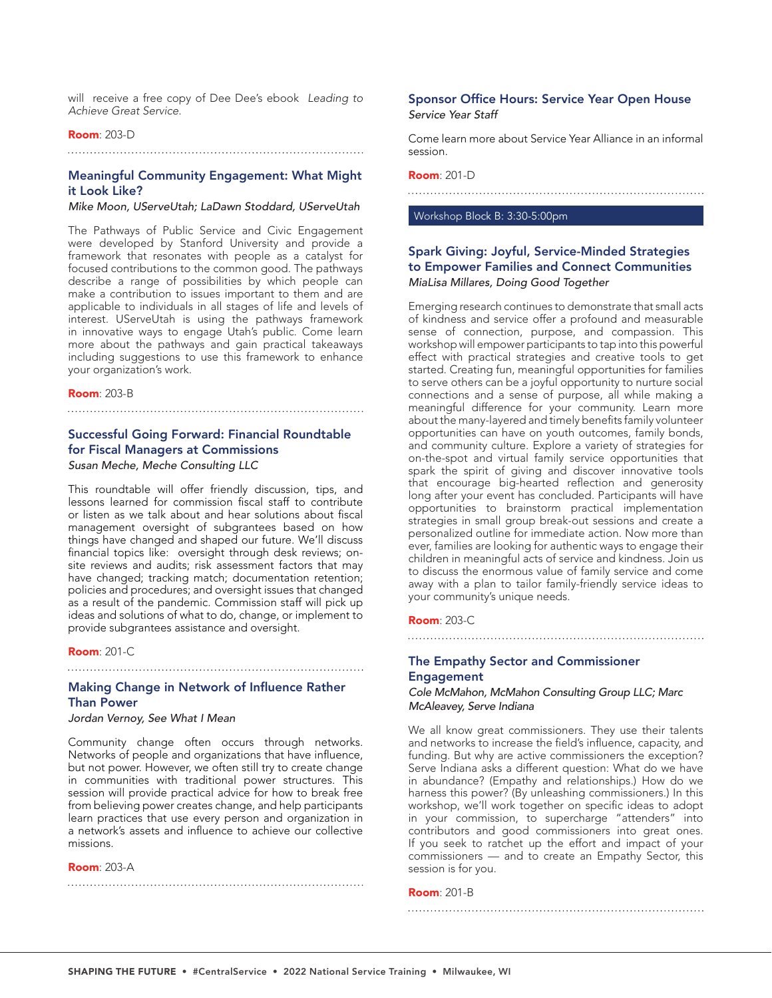will receive a free copy of Dee Dee's ebook *Leading to Achieve Great Service*.

#### Room: 203-D

# 

# Meaningful Community Engagement: What Might it Look Like?

#### *Mike Moon, UServeUtah; LaDawn Stoddard, UServeUtah*

The Pathways of Public Service and Civic Engagement were developed by Stanford University and provide a framework that resonates with people as a catalyst for focused contributions to the common good. The pathways describe a range of possibilities by which people can make a contribution to issues important to them and are applicable to individuals in all stages of life and levels of interest. UServeUtah is using the pathways framework in innovative ways to engage Utah's public. Come learn more about the pathways and gain practical takeaways including suggestions to use this framework to enhance your organization's work.

#### **Room**: 203-B

#### 

# Successful Going Forward: Financial Roundtable for Fiscal Managers at Commissions

### *Susan Meche, Meche Consulting LLC*

This roundtable will offer friendly discussion, tips, and lessons learned for commission fiscal staff to contribute or listen as we talk about and hear solutions about fiscal management oversight of subgrantees based on how things have changed and shaped our future. We'll discuss financial topics like: oversight through desk reviews; onsite reviews and audits; risk assessment factors that may have changed; tracking match; documentation retention; policies and procedures; and oversight issues that changed as a result of the pandemic. Commission staff will pick up ideas and solutions of what to do, change, or implement to provide subgrantees assistance and oversight.

#### **Room: 201-C**

# Making Change in Network of Influence Rather Than Power

#### *Jordan Vernoy, See What I Mean*

Community change often occurs through networks. Networks of people and organizations that have influence, but not power. However, we often still try to create change in communities with traditional power structures. This session will provide practical advice for how to break free from believing power creates change, and help participants learn practices that use every person and organization in a network's assets and influence to achieve our collective missions.

Room: 203-A

# Sponsor Office Hours: Service Year Open House *Service Year Staff*

Come learn more about Service Year Alliance in an informal session.

#### Room: 201-D

## Workshop Block B: 3:30-5:00pm

# Spark Giving: Joyful, Service-Minded Strategies to Empower Families and Connect Communities *MiaLisa Millares, Doing Good Together*

Emerging research continues to demonstrate that small acts of kindness and service offer a profound and measurable sense of connection, purpose, and compassion. This workshop will empower participants to tap into this powerful effect with practical strategies and creative tools to get started. Creating fun, meaningful opportunities for families to serve others can be a joyful opportunity to nurture social connections and a sense of purpose, all while making a meaningful difference for your community. Learn more about the many-layered and timely benefits family volunteer opportunities can have on youth outcomes, family bonds, and community culture. Explore a variety of strategies for on-the-spot and virtual family service opportunities that spark the spirit of giving and discover innovative tools that encourage big-hearted reflection and generosity long after your event has concluded. Participants will have opportunities to brainstorm practical implementation strategies in small group break-out sessions and create a personalized outline for immediate action. Now more than ever, families are looking for authentic ways to engage their children in meaningful acts of service and kindness. Join us to discuss the enormous value of family service and come away with a plan to tailor family-friendly service ideas to your community's unique needs.

#### Room: 203-C

# The Empathy Sector and Commissioner Engagement

*Cole McMahon, McMahon Consulting Group LLC; Marc McAleavey, Serve Indiana*

We all know great commissioners. They use their talents and networks to increase the field's influence, capacity, and funding. But why are active commissioners the exception? Serve Indiana asks a different question: What do we have in abundance? (Empathy and relationships.) How do we harness this power? (By unleashing commissioners.) In this workshop, we'll work together on specific ideas to adopt in your commission, to supercharge "attenders" into contributors and good commissioners into great ones. If you seek to ratchet up the effort and impact of your commissioners — and to create an Empathy Sector, this session is for you.

#### Room: 201-B

SHAPING THE FUTURE • #CentralService • 2022 National Service Training • Milwaukee, WI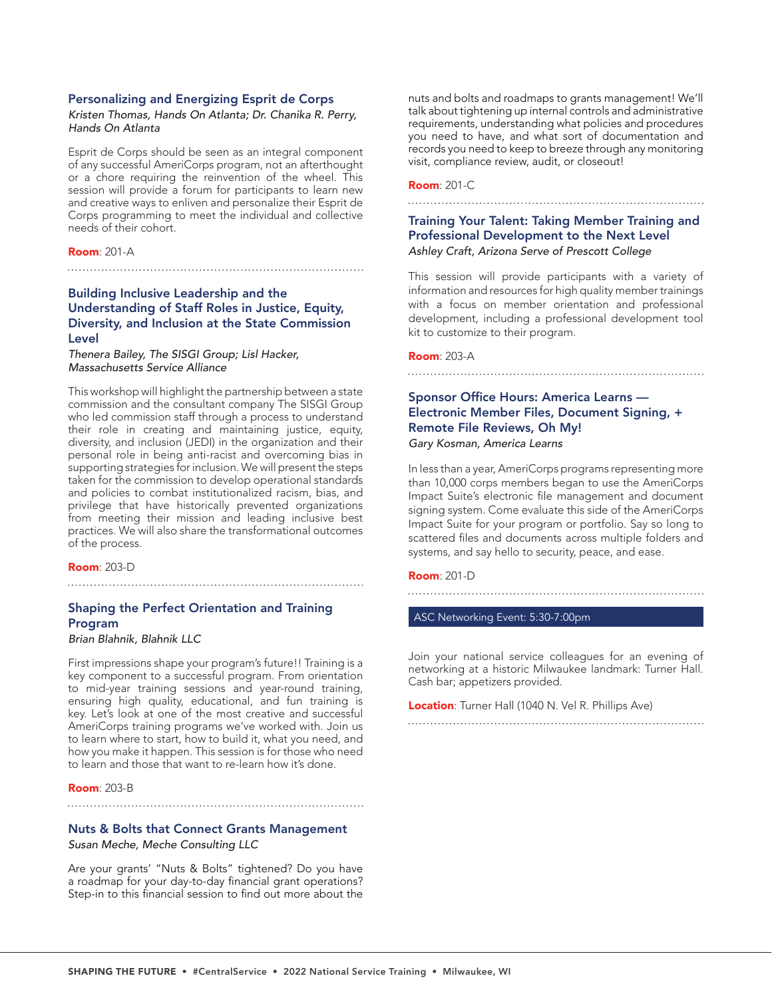#### Personalizing and Energizing Esprit de Corps

#### *Kristen Thomas, Hands On Atlanta; Dr. Chanika R. Perry, Hands On Atlanta*

Esprit de Corps should be seen as an integral component of any successful AmeriCorps program, not an afterthought or a chore requiring the reinvention of the wheel. This session will provide a forum for participants to learn new and creative ways to enliven and personalize their Esprit de Corps programming to meet the individual and collective needs of their cohort.

#### Room: 201-A

# Building Inclusive Leadership and the Understanding of Staff Roles in Justice, Equity, Diversity, and Inclusion at the State Commission Level

*Thenera Bailey, The SISGI Group; Lisl Hacker, Massachusetts Service Alliance*

This workshop will highlight the partnership between a state commission and the consultant company The SISGI Group who led commission staff through a process to understand their role in creating and maintaining justice, equity, diversity, and inclusion (JEDI) in the organization and their personal role in being anti-racist and overcoming bias in supporting strategies for inclusion. We will present the steps taken for the commission to develop operational standards and policies to combat institutionalized racism, bias, and privilege that have historically prevented organizations from meeting their mission and leading inclusive best practices. We will also share the transformational outcomes of the process.

Room: 203-D

# Shaping the Perfect Orientation and Training Program

*Brian Blahnik, Blahnik LLC*

First impressions shape your program's future!! Training is a key component to a successful program. From orientation to mid-year training sessions and year-round training, ensuring high quality, educational, and fun training is key. Let's look at one of the most creative and successful AmeriCorps training programs we've worked with. Join us to learn where to start, how to build it, what you need, and how you make it happen. This session is for those who need to learn and those that want to re-learn how it's done.

#### **Room: 203-B**

## Nuts & Bolts that Connect Grants Management *Susan Meche, Meche Consulting LLC*

Are your grants' "Nuts & Bolts" tightened? Do you have a roadmap for your day-to-day financial grant operations? Step-in to this financial session to find out more about the nuts and bolts and roadmaps to grants management! We'll talk about tightening up internal controls and administrative requirements, understanding what policies and procedures you need to have, and what sort of documentation and records you need to keep to breeze through any monitoring visit, compliance review, audit, or closeout!

# Room: 201-C

#### 

# Training Your Talent: Taking Member Training and Professional Development to the Next Level *Ashley Craft, Arizona Serve of Prescott College*

This session will provide participants with a variety of information and resources for high quality member trainings with a focus on member orientation and professional development, including a professional development tool kit to customize to their program.

#### Room: 203-A

# Sponsor Office Hours: America Learns — Electronic Member Files, Document Signing, + Remote File Reviews, Oh My! *Gary Kosman, America Learns*

In less than a year, AmeriCorps programs representing more than 10,000 corps members began to use the AmeriCorps Impact Suite's electronic file management and document signing system. Come evaluate this side of the AmeriCorps Impact Suite for your program or portfolio. Say so long to scattered files and documents across multiple folders and systems, and say hello to security, peace, and ease.

**Room: 201-D** 

ASC Networking Event: 5:30-7:00pm

Join your national service colleagues for an evening of networking at a historic Milwaukee landmark: Turner Hall. Cash bar; appetizers provided.

Location: Turner Hall (1040 N. Vel R. Phillips Ave)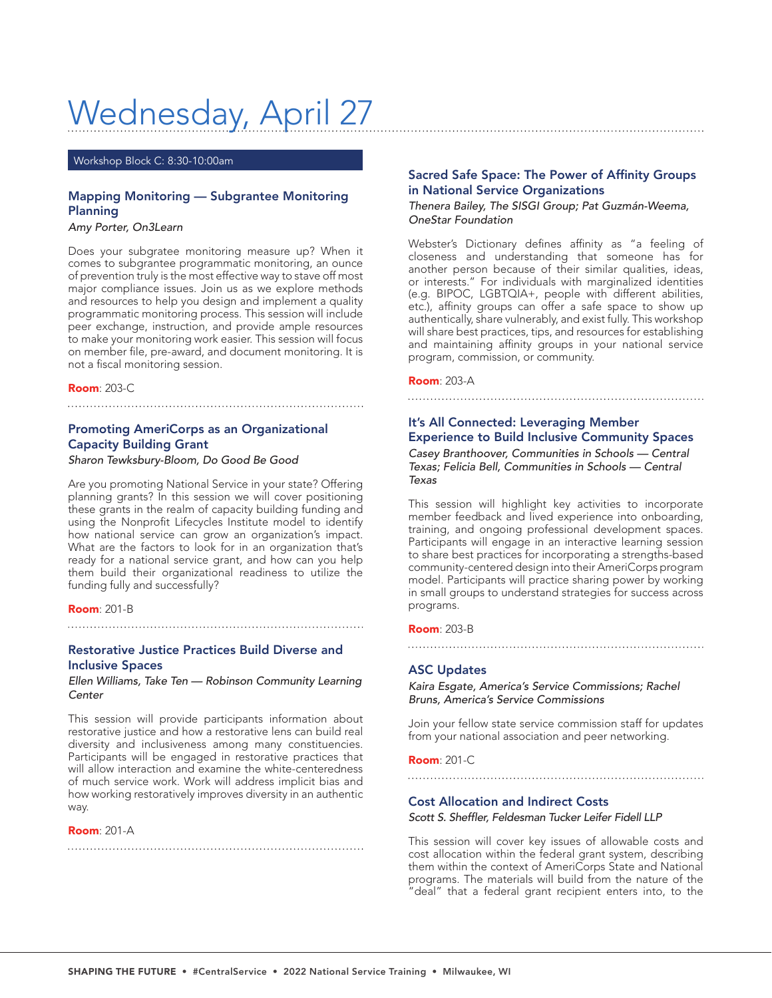# Wednesday, April 27

Workshop Block C: 8:30-10:00am

# Mapping Monitoring — Subgrantee Monitoring Planning

*Amy Porter, On3Learn*

Does your subgratee monitoring measure up? When it comes to subgrantee programmatic monitoring, an ounce of prevention truly is the most effective way to stave off most major compliance issues. Join us as we explore methods and resources to help you design and implement a quality programmatic monitoring process. This session will include peer exchange, instruction, and provide ample resources to make your monitoring work easier. This session will focus on member file, pre-award, and document monitoring. It is not a fiscal monitoring session.

**Room: 203-C** 

# Promoting AmeriCorps as an Organizational Capacity Building Grant

# *Sharon Tewksbury-Bloom, Do Good Be Good*

Are you promoting National Service in your state? Offering planning grants? In this session we will cover positioning these grants in the realm of capacity building funding and using the Nonprofit Lifecycles Institute model to identify how national service can grow an organization's impact. What are the factors to look for in an organization that's ready for a national service grant, and how can you help them build their organizational readiness to utilize the funding fully and successfully?

#### **Room: 201-B**

# Restorative Justice Practices Build Diverse and Inclusive Spaces

#### *Ellen Williams, Take Ten — Robinson Community Learning Center*

This session will provide participants information about restorative justice and how a restorative lens can build real diversity and inclusiveness among many constituencies. Participants will be engaged in restorative practices that will allow interaction and examine the white-centeredness of much service work. Work will address implicit bias and how working restoratively improves diversity in an authentic way.

#### Room: 201-A

# Sacred Safe Space: The Power of Affinity Groups in National Service Organizations

#### *Thenera Bailey, The SISGI Group; Pat Guzmán-Weema, OneStar Foundation*

Webster's Dictionary defines affinity as "a feeling of closeness and understanding that someone has for another person because of their similar qualities, ideas, or interests." For individuals with marginalized identities (e.g. BIPOC, LGBTQIA+, people with different abilities, etc.), affinity groups can offer a safe space to show up authentically, share vulnerably, and exist fully. This workshop will share best practices, tips, and resources for establishing and maintaining affinity groups in your national service program, commission, or community.

Room: 203-A

# It's All Connected: Leveraging Member Experience to Build Inclusive Community Spaces

*Casey Branthoover, Communities in Schools — Central Texas; Felicia Bell, Communities in Schools — Central Texas*

This session will highlight key activities to incorporate member feedback and lived experience into onboarding, training, and ongoing professional development spaces. Participants will engage in an interactive learning session to share best practices for incorporating a strengths-based community-centered design into their AmeriCorps program model. Participants will practice sharing power by working in small groups to understand strategies for success across programs.

#### Room: 203-B

# ASC Updates

*Kaira Esgate, America's Service Commissions; Rachel Bruns, America's Service Commissions*

Join your fellow state service commission staff for updates from your national association and peer networking.

Room: 201-C

# Cost Allocation and Indirect Costs

#### Scott S. Sheffler, Feldesman Tucker Leifer Fidell LLP

This session will cover key issues of allowable costs and cost allocation within the federal grant system, describing them within the context of AmeriCorps State and National programs. The materials will build from the nature of the "deal" that a federal grant recipient enters into, to the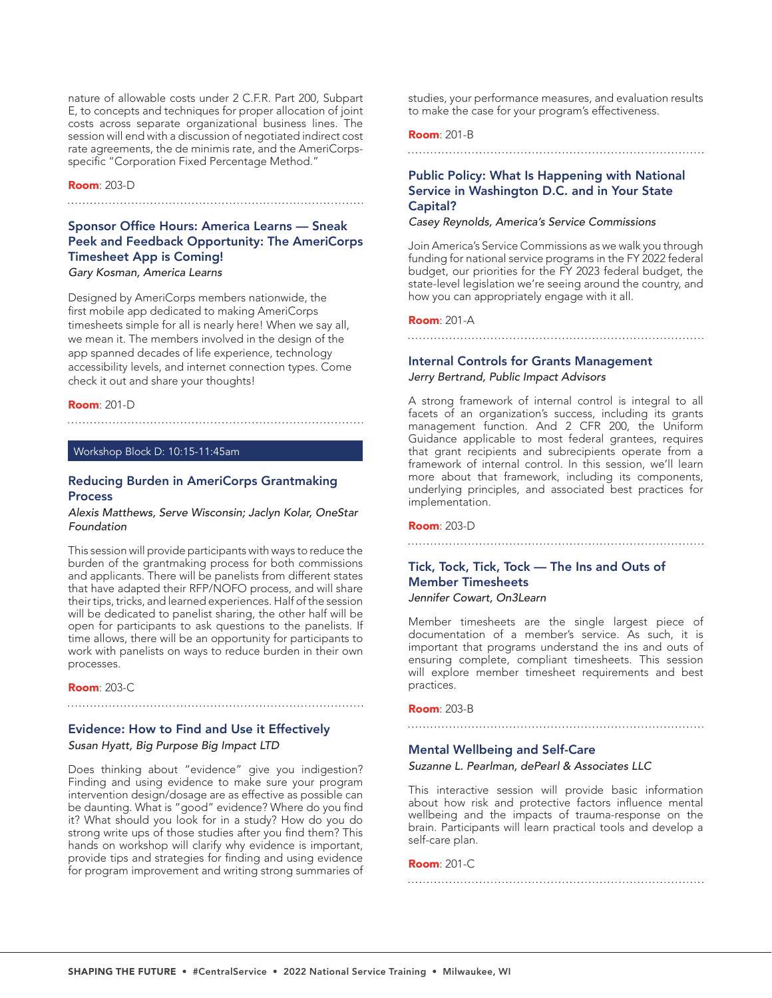nature of allowable costs under 2 C.F.R. Part 200, Subpart E, to concepts and techniques for proper allocation of joint costs across separate organizational business lines. The session will end with a discussion of negotiated indirect cost rate agreements, the de minimis rate, and the AmeriCorpsspecific "Corporation Fixed Percentage Method."

#### Room: 203-D

#### 

# Sponsor Office Hours: America Learns — Sneak Peek and Feedback Opportunity: The AmeriCorps Timesheet App is Coming!

*Gary Kosman, America Learns*

Designed by AmeriCorps members nationwide, the first mobile app dedicated to making AmeriCorps timesheets simple for all is nearly here! When we say all, we mean it. The members involved in the design of the app spanned decades of life experience, technology accessibility levels, and internet connection types. Come check it out and share your thoughts!

#### Room: 201-D

#### Workshop Block D: 10:15-11:45am

#### Reducing Burden in AmeriCorps Grantmaking Process

#### *Alexis Matthews, Serve Wisconsin; Jaclyn Kolar, OneStar Foundation*

This session will provide participants with ways to reduce the burden of the grantmaking process for both commissions and applicants. There will be panelists from different states that have adapted their RFP/NOFO process, and will share their tips, tricks, and learned experiences. Half of the session will be dedicated to panelist sharing, the other half will be open for participants to ask questions to the panelists. If time allows, there will be an opportunity for participants to work with panelists on ways to reduce burden in their own processes.

Room: 203-C

# Evidence: How to Find and Use it Effectively *Susan Hyatt, Big Purpose Big Impact LTD*

Does thinking about "evidence" give you indigestion? Finding and using evidence to make sure your program intervention design/dosage are as effective as possible can be daunting. What is "good" evidence? Where do you find it? What should you look for in a study? How do you do strong write ups of those studies after you find them? This hands on workshop will clarify why evidence is important, provide tips and strategies for finding and using evidence for program improvement and writing strong summaries of studies, your performance measures, and evaluation results to make the case for your program's effectiveness.

# Room: 201-B

#### 

# Public Policy: What Is Happening with National Service in Washington D.C. and in Your State Capital?

#### *Casey Reynolds, America's Service Commissions*

Join America's Service Commissions as we walk you through funding for national service programs in the FY 2022 federal budget, our priorities for the FY 2023 federal budget, the state-level legislation we're seeing around the country, and how you can appropriately engage with it all.

#### Room: 201-A

# Internal Controls for Grants Management *Jerry Bertrand, Public Impact Advisors*

A strong framework of internal control is integral to all facets of an organization's success, including its grants management function. And 2 CFR 200, the Uniform Guidance applicable to most federal grantees, requires that grant recipients and subrecipients operate from a framework of internal control. In this session, we'll learn more about that framework, including its components, underlying principles, and associated best practices for implementation.

#### Room: 203-D

# Tick, Tock, Tick, Tock — The Ins and Outs of Member Timesheets *Jennifer Cowart, On3Learn*

Member timesheets are the single largest piece of documentation of a member's service. As such, it is important that programs understand the ins and outs of ensuring complete, compliant timesheets. This session will explore member timesheet requirements and best practices.

#### Room: 203-B

#### 

#### Mental Wellbeing and Self-Care

#### *Suzanne L. Pearlman, dePearl & Associates LLC*

This interactive session will provide basic information about how risk and protective factors influence mental wellbeing and the impacts of trauma-response on the brain. Participants will learn practical tools and develop a self-care plan.

#### Room: 201-C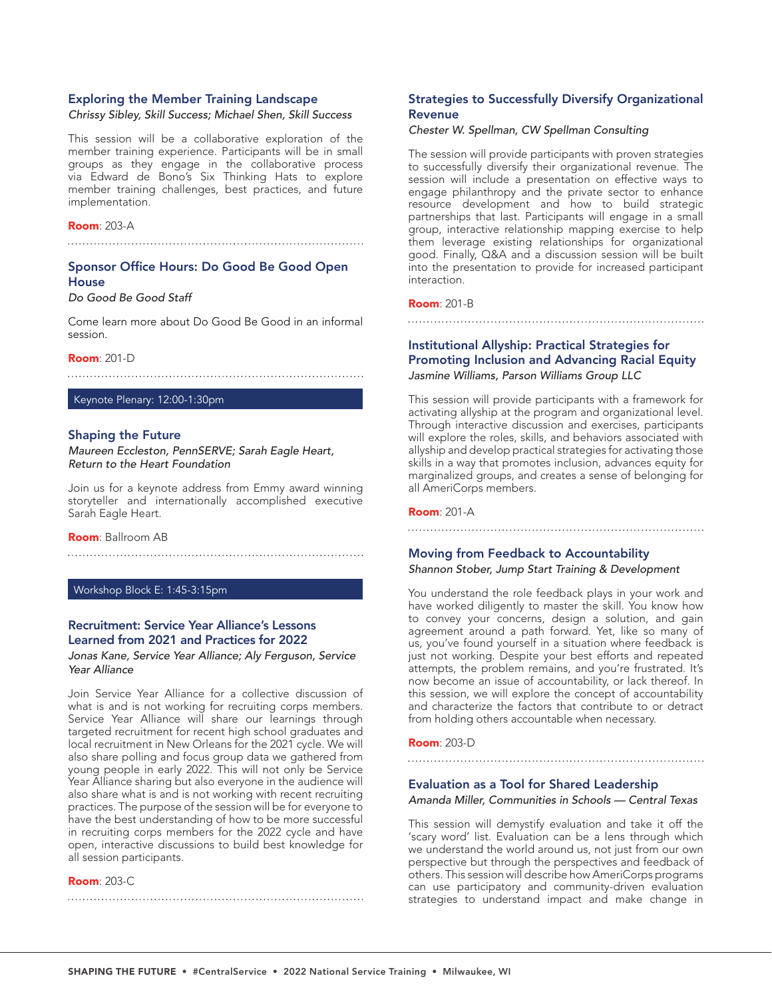#### Exploring the Member Training Landscape

*Chrissy Sibley, Skill Success; Michael Shen, Skill Success*

This session will be a collaborative exploration of the member training experience. Participants will be in small groups as they engage in the collaborative process via Edward de Bono's Six Thinking Hats to explore member training challenges, best practices, and future implementation.

#### Room: 203-A

# Sponsor Office Hours: Do Good Be Good Open **House**

# *Do Good Be Good Staff*

Come learn more about Do Good Be Good in an informal session.

#### **Room**: 201-D

#### Keynote Plenary: 12:00-1:30pm

#### Shaping the Future

*Maureen Eccleston, PennSERVE; Sarah Eagle Heart, Return to the Heart Foundation*

Join us for a keynote address from Emmy award winning storyteller and internationally accomplished executive Sarah Eagle Heart.

#### Room: Ballroom AB

#### Workshop Block E: 1:45-3:15pm

# Recruitment: Service Year Alliance's Lessons Learned from 2021 and Practices for 2022

*Jonas Kane, Service Year Alliance; Aly Ferguson, Service Year Alliance*

Join Service Year Alliance for a collective discussion of what is and is not working for recruiting corps members. Service Year Alliance will share our learnings through targeted recruitment for recent high school graduates and local recruitment in New Orleans for the 2021 cycle. We will also share polling and focus group data we gathered from young people in early 2022. This will not only be Service Year Alliance sharing but also everyone in the audience will also share what is and is not working with recent recruiting practices. The purpose of the session will be for everyone to have the best understanding of how to be more successful in recruiting corps members for the 2022 cycle and have open, interactive discussions to build best knowledge for all session participants.

#### **Room**: 203-C

# Strategies to Successfully Diversify Organizational Revenue

#### *Chester W. Spellman, CW Spellman Consulting*

The session will provide participants with proven strategies to successfully diversify their organizational revenue. The session will include a presentation on effective ways to engage philanthropy and the private sector to enhance resource development and how to build strategic partnerships that last. Participants will engage in a small group, interactive relationship mapping exercise to help them leverage existing relationships for organizational good. Finally, Q&A and a discussion session will be built into the presentation to provide for increased participant interaction.

# Room: 201-B

# Institutional Allyship: Practical Strategies for Promoting Inclusion and Advancing Racial Equity *Jasmine Williams, Parson Williams Group LLC*

This session will provide participants with a framework for activating allyship at the program and organizational level. Through interactive discussion and exercises, participants will explore the roles, skills, and behaviors associated with allyship and develop practical strategies for activating those skills in a way that promotes inclusion, advances equity for marginalized groups, and creates a sense of belonging for all AmeriCorps members.

#### Room: 201-A

## Moving from Feedback to Accountability

*Shannon Stober, Jump Start Training & Development*

You understand the role feedback plays in your work and have worked diligently to master the skill. You know how to convey your concerns, design a solution, and gain agreement around a path forward. Yet, like so many of us, you've found yourself in a situation where feedback is just not working. Despite your best efforts and repeated attempts, the problem remains, and you're frustrated. It's now become an issue of accountability, or lack thereof. In this session, we will explore the concept of accountability and characterize the factors that contribute to or detract from holding others accountable when necessary.

#### Room: 203-D

#### Evaluation as a Tool for Shared Leadership

#### *Amanda Miller, Communities in Schools — Central Texas*

This session will demystify evaluation and take it off the 'scary word' list. Evaluation can be a lens through which we understand the world around us, not just from our own perspective but through the perspectives and feedback of others. This session will describe how AmeriCorps programs can use participatory and community-driven evaluation strategies to understand impact and make change in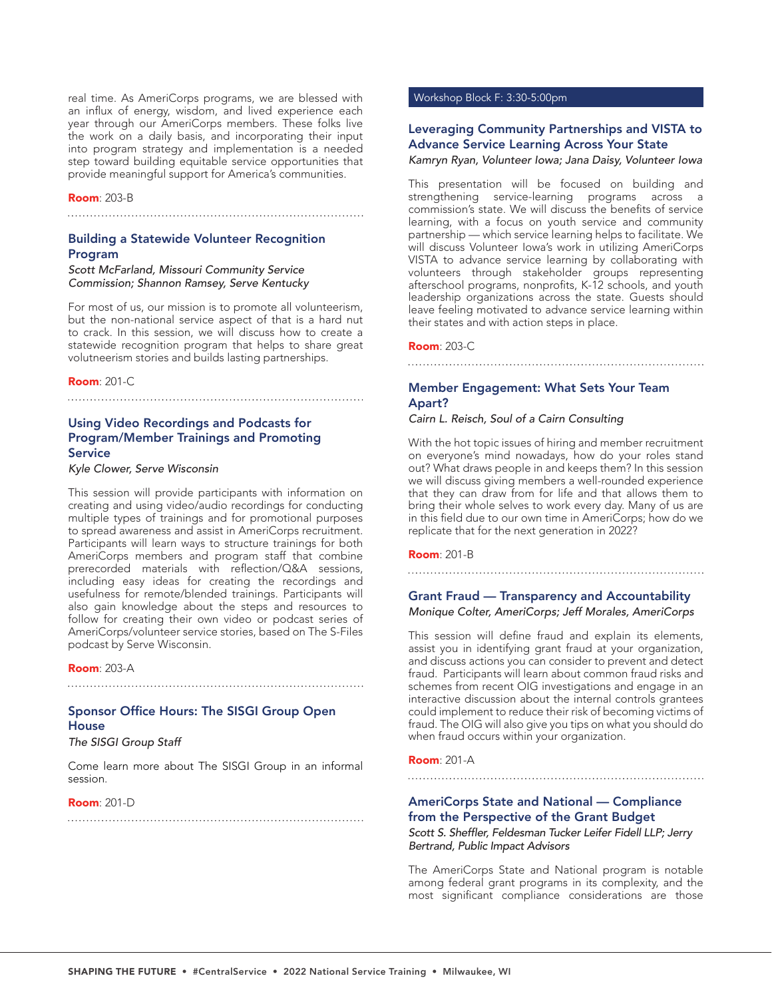real time. As AmeriCorps programs, we are blessed with an influx of energy, wisdom, and lived experience each year through our AmeriCorps members. These folks live the work on a daily basis, and incorporating their input into program strategy and implementation is a needed step toward building equitable service opportunities that provide meaningful support for America's communities.

#### Room: 203-B

#### 

# Building a Statewide Volunteer Recognition Program

#### *Scott McFarland, Missouri Community Service Commission; Shannon Ramsey, Serve Kentucky*

For most of us, our mission is to promote all volunteerism, but the non-national service aspect of that is a hard nut to crack. In this session, we will discuss how to create a statewide recognition program that helps to share great volutneerism stories and builds lasting partnerships.

Room: 201-C

# Using Video Recordings and Podcasts for Program/Member Trainings and Promoting **Service**

#### *Kyle Clower, Serve Wisconsin*

This session will provide participants with information on creating and using video/audio recordings for conducting multiple types of trainings and for promotional purposes to spread awareness and assist in AmeriCorps recruitment. Participants will learn ways to structure trainings for both AmeriCorps members and program staff that combine prerecorded materials with reflection/Q&A sessions, including easy ideas for creating the recordings and usefulness for remote/blended trainings. Participants will also gain knowledge about the steps and resources to follow for creating their own video or podcast series of AmeriCorps/volunteer service stories, based on The S-Files podcast by Serve Wisconsin.

#### Room: 203-A

# Sponsor Office Hours: The SISGI Group Open **House**

*The SISGI Group Staff*

Come learn more about The SISGI Group in an informal session.

#### **Room: 201-D**

#### Workshop Block F: 3:30-5:00pm

# Leveraging Community Partnerships and VISTA to Advance Service Learning Across Your State

#### *Kamryn Ryan, Volunteer Iowa; Jana Daisy, Volunteer Iowa*

This presentation will be focused on building and strengthening service-learning programs across a commission's state. We will discuss the benefits of service learning, with a focus on youth service and community partnership — which service learning helps to facilitate. We will discuss Volunteer Iowa's work in utilizing AmeriCorps VISTA to advance service learning by collaborating with volunteers through stakeholder groups representing afterschool programs, nonprofits, K-12 schools, and youth leadership organizations across the state. Guests should leave feeling motivated to advance service learning within their states and with action steps in place.

#### Room: 203-C

# Member Engagement: What Sets Your Team Apart?

# *Cairn L. Reisch, Soul of a Cairn Consulting*

With the hot topic issues of hiring and member recruitment on everyone's mind nowadays, how do your roles stand out? What draws people in and keeps them? In this session we will discuss giving members a well-rounded experience that they can draw from for life and that allows them to bring their whole selves to work every day. Many of us are in this field due to our own time in AmeriCorps; how do we replicate that for the next generation in 2022?

#### Room: 201-B

# 

# Grant Fraud — Transparency and Accountability

# *Monique Colter, AmeriCorps; Jeff Morales, AmeriCorps*

This session will define fraud and explain its elements, assist you in identifying grant fraud at your organization, and discuss actions you can consider to prevent and detect fraud. Participants will learn about common fraud risks and schemes from recent OIG investigations and engage in an interactive discussion about the internal controls grantees could implement to reduce their risk of becoming victims of fraud. The OIG will also give you tips on what you should do when fraud occurs within your organization.

#### Room: 201-A

# 

# AmeriCorps State and National — Compliance from the Perspective of the Grant Budget

Scott S. Sheffler, Feldesman Tucker Leifer Fidell LLP; Jerry *Bertrand, Public Impact Advisors*

The AmeriCorps State and National program is notable among federal grant programs in its complexity, and the most significant compliance considerations are those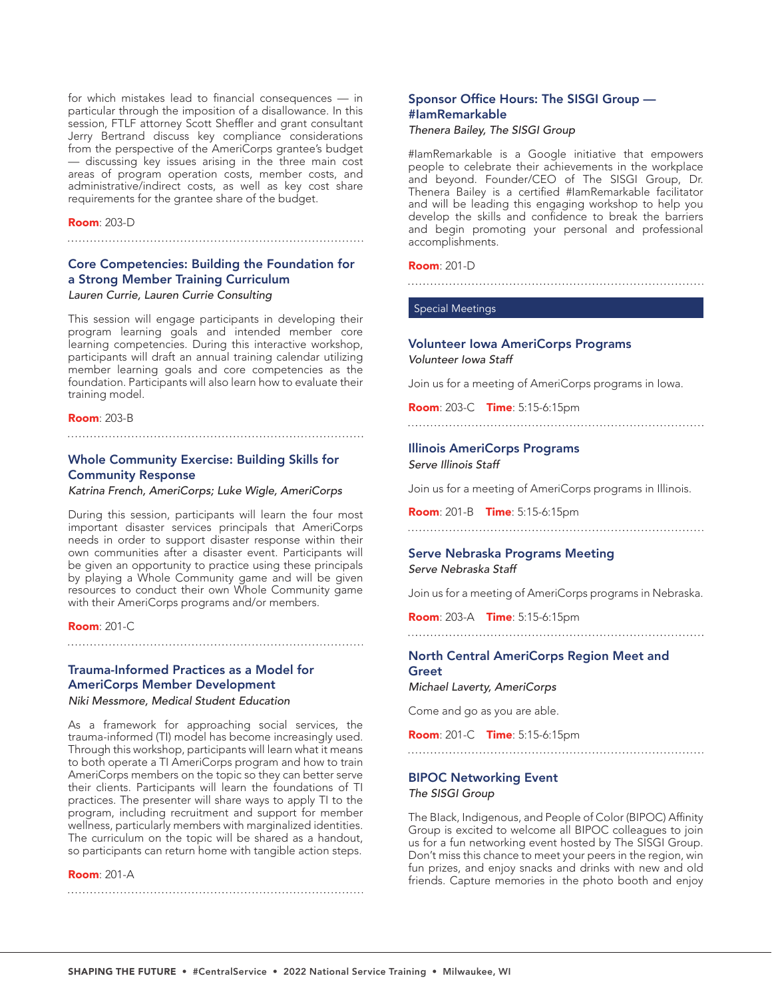for which mistakes lead to financial consequences — in particular through the imposition of a disallowance. In this session, FTLF attorney Scott Sheffler and grant consultant Jerry Bertrand discuss key compliance considerations from the perspective of the AmeriCorps grantee's budget — discussing key issues arising in the three main cost areas of program operation costs, member costs, and administrative/indirect costs, as well as key cost share requirements for the grantee share of the budget.

#### Room: 203-D

# Core Competencies: Building the Foundation for a Strong Member Training Curriculum *Lauren Currie, Lauren Currie Consulting*

This session will engage participants in developing their program learning goals and intended member core learning competencies. During this interactive workshop, participants will draft an annual training calendar utilizing member learning goals and core competencies as the foundation. Participants will also learn how to evaluate their training model.

#### Room: 203-B

# Whole Community Exercise: Building Skills for Community Response

*Katrina French, AmeriCorps; Luke Wigle, AmeriCorps*

During this session, participants will learn the four most important disaster services principals that AmeriCorps needs in order to support disaster response within their own communities after a disaster event. Participants will be given an opportunity to practice using these principals by playing a Whole Community game and will be given resources to conduct their own Whole Community game with their AmeriCorps programs and/or members.

#### Room: 201-C

# Trauma-Informed Practices as a Model for AmeriCorps Member Development

*Niki Messmore, Medical Student Education*

As a framework for approaching social services, the trauma-informed (TI) model has become increasingly used. Through this workshop, participants will learn what it means to both operate a TI AmeriCorps program and how to train AmeriCorps members on the topic so they can better serve their clients. Participants will learn the foundations of TI practices. The presenter will share ways to apply TI to the program, including recruitment and support for member wellness, particularly members with marginalized identities. The curriculum on the topic will be shared as a handout, so participants can return home with tangible action steps.

#### **Room**: 201-A

# Sponsor Office Hours: The SISGI Group — #IamRemarkable

# *Thenera Bailey, The SISGI Group*

#IamRemarkable is a Google initiative that empowers people to celebrate their achievements in the workplace and beyond. Founder/CEO of The SISGI Group, Dr. Thenera Bailey is a certified #IamRemarkable facilitator and will be leading this engaging workshop to help you develop the skills and confidence to break the barriers and begin promoting your personal and professional accomplishments.

#### Room: 201-D

#### Special Meetings

# Volunteer Iowa AmeriCorps Programs *Volunteer Iowa Staff*

Join us for a meeting of AmeriCorps programs in Iowa.

Room: 203-C Time: 5:15-6:15pm

# Illinois AmeriCorps Programs *Serve Illinois Staff*

Join us for a meeting of AmeriCorps programs in Illinois.

Room: 201-B Time: 5:15-6:15pm

# 

# Serve Nebraska Programs Meeting *Serve Nebraska Staff*

Join us for a meeting of AmeriCorps programs in Nebraska.

Room: 203-A Time: 5:15-6:15pm

#### 

# North Central AmeriCorps Region Meet and Greet

*Michael Laverty, AmeriCorps*

Come and go as you are able.

Room: 201-C Time: 5:15-6:15pm

# 

# BIPOC Networking Event *The SISGI Group*

The BIack, Indigenous, and People of Color (BIPOC) Affinity Group is excited to welcome all BIPOC colleagues to join us for a fun networking event hosted by The SISGI Group. Don't miss this chance to meet your peers in the region, win fun prizes, and enjoy snacks and drinks with new and old friends. Capture memories in the photo booth and enjoy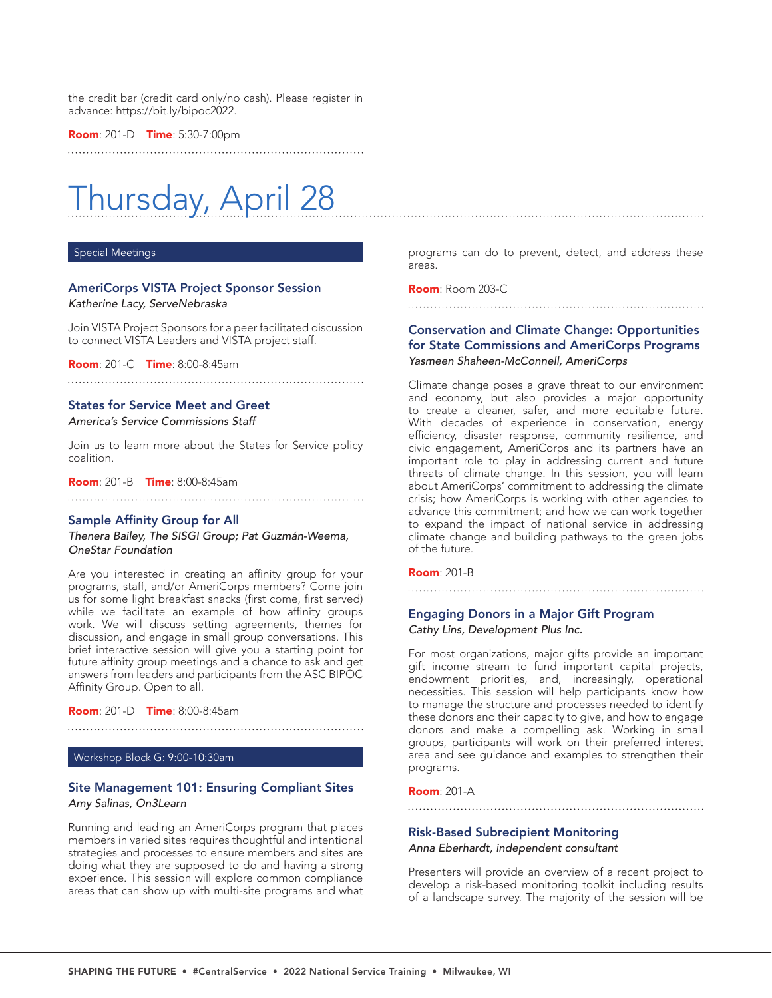the credit bar (credit card only/no cash). Please register in advance: https://bit.ly/bipoc2022.

**Room**: 201-D **Time**: 5:30-7:00pm

# Thursday, April 28

#### Special Meetings

# AmeriCorps VISTA Project Sponsor Session *Katherine Lacy, ServeNebraska*

Join VISTA Project Sponsors for a peer facilitated discussion to connect VISTA Leaders and VISTA project staff.

Room: 201-C Time: 8:00-8:45am

#### States for Service Meet and Greet

*America's Service Commissions Staff*

Join us to learn more about the States for Service policy coalition.

Room: 201-B Time: 8:00-8:45am

#### Sample Affinity Group for All

*Thenera Bailey, The SISGI Group; Pat Guzmán-Weema, OneStar Foundation*

Are you interested in creating an affinity group for your programs, staff, and/or AmeriCorps members? Come join us for some light breakfast snacks (first come, first served) while we facilitate an example of how affinity groups work. We will discuss setting agreements, themes for discussion, and engage in small group conversations. This brief interactive session will give you a starting point for future affinity group meetings and a chance to ask and get answers from leaders and participants from the ASC BIPOC Affinity Group. Open to all.

**Room**: 201-D **Time**: 8:00-8:45am

Workshop Block G: 9:00-10:30am

# Site Management 101: Ensuring Compliant Sites *Amy Salinas, On3Learn*

Running and leading an AmeriCorps program that places members in varied sites requires thoughtful and intentional strategies and processes to ensure members and sites are doing what they are supposed to do and having a strong experience. This session will explore common compliance areas that can show up with multi-site programs and what

programs can do to prevent, detect, and address these areas.

Room: Room 203-C

# Conservation and Climate Change: Opportunities for State Commissions and AmeriCorps Programs *Yasmeen Shaheen-McConnell, AmeriCorps*

Climate change poses a grave threat to our environment and economy, but also provides a major opportunity to create a cleaner, safer, and more equitable future. With decades of experience in conservation, energy efficiency, disaster response, community resilience, and civic engagement, AmeriCorps and its partners have an important role to play in addressing current and future threats of climate change. In this session, you will learn about AmeriCorps' commitment to addressing the climate crisis; how AmeriCorps is working with other agencies to advance this commitment; and how we can work together to expand the impact of national service in addressing climate change and building pathways to the green jobs of the future.

#### **Room**: 201-B

# Engaging Donors in a Major Gift Program *Cathy Lins, Development Plus Inc.*

For most organizations, major gifts provide an important gift income stream to fund important capital projects, endowment priorities, and, increasingly, operational necessities. This session will help participants know how to manage the structure and processes needed to identify these donors and their capacity to give, and how to engage donors and make a compelling ask. Working in small groups, participants will work on their preferred interest area and see guidance and examples to strengthen their programs.

#### Room: 201-A

### Risk-Based Subrecipient Monitoring

*Anna Eberhardt, independent consultant*

Presenters will provide an overview of a recent project to develop a risk-based monitoring toolkit including results of a landscape survey. The majority of the session will be